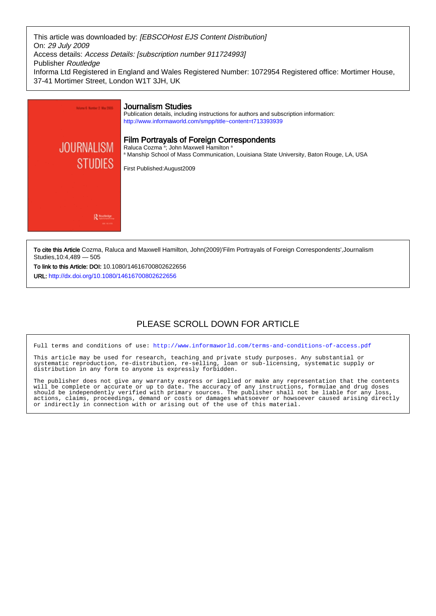This article was downloaded by: [EBSCOHost EJS Content Distribution] On: 29 July 2009 Access details: Access Details: [subscription number 911724993] Publisher Routledge Informa Ltd Registered in England and Wales Registered Number: 1072954 Registered office: Mortimer House, 37-41 Mortimer Street, London W1T 3JH, UK



To cite this Article Cozma, Raluca and Maxwell Hamilton, John(2009)'Film Portrayals of Foreign Correspondents',Journalism Studies,10:4,489 — 505

To link to this Article: DOI: 10.1080/14616700802622656 URL: <http://dx.doi.org/10.1080/14616700802622656>

# PLEASE SCROLL DOWN FOR ARTICLE

Full terms and conditions of use:<http://www.informaworld.com/terms-and-conditions-of-access.pdf>

This article may be used for research, teaching and private study purposes. Any substantial or systematic reproduction, re-distribution, re-selling, loan or sub-licensing, systematic supply or distribution in any form to anyone is expressly forbidden.

The publisher does not give any warranty express or implied or make any representation that the contents will be complete or accurate or up to date. The accuracy of any instructions, formulae and drug doses should be independently verified with primary sources. The publisher shall not be liable for any loss, actions, claims, proceedings, demand or costs or damages whatsoever or howsoever caused arising directly or indirectly in connection with or arising out of the use of this material.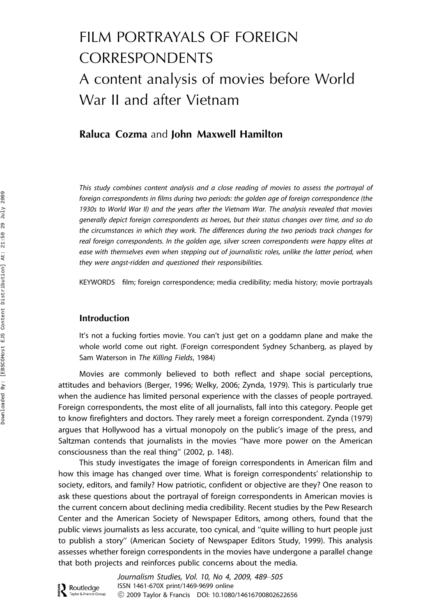# FILM PORTRAYALS OF FOREIGN CORRESPONDENTS A content analysis of movies before World War II and after Vietnam

# Raluca Cozma and John Maxwell Hamilton

This study combines content analysis and a close reading of movies to assess the portrayal of foreign correspondents in films during two periods: the golden age of foreign correspondence (the 1930s to World War II) and the years after the Vietnam War. The analysis revealed that movies generally depict foreign correspondents as heroes, but their status changes over time, and so do the circumstances in which they work. The differences during the two periods track changes for real foreign correspondents. In the golden age, silver screen correspondents were happy elites at ease with themselves even when stepping out of journalistic roles, unlike the latter period, when they were angst-ridden and questioned their responsibilities.

KEYWORDS film; foreign correspondence; media credibility; media history; movie portrayals

#### Introduction

It's not a fucking forties movie. You can't just get on a goddamn plane and make the whole world come out right. (Foreign correspondent Sydney Schanberg, as played by Sam Waterson in The Killing Fields, 1984)

Movies are commonly believed to both reflect and shape social perceptions, attitudes and behaviors (Berger, 1996; Welky, 2006; Zynda, 1979). This is particularly true when the audience has limited personal experience with the classes of people portrayed. Foreign correspondents, the most elite of all journalists, fall into this category. People get to know firefighters and doctors. They rarely meet a foreign correspondent. Zynda (1979) argues that Hollywood has a virtual monopoly on the public's image of the press, and Saltzman contends that journalists in the movies ''have more power on the American consciousness than the real thing'' (2002, p. 148).

This study investigates the image of foreign correspondents in American film and how this image has changed over time. What is foreign correspondents' relationship to society, editors, and family? How patriotic, confident or objective are they? One reason to ask these questions about the portrayal of foreign correspondents in American movies is the current concern about declining media credibility. Recent studies by the Pew Research Center and the American Society of Newspaper Editors, among others, found that the public views journalists as less accurate, too cynical, and ''quite willing to hurt people just to publish a story'' (American Society of Newspaper Editors Study, 1999). This analysis assesses whether foreign correspondents in the movies have undergone a parallel change that both projects and reinforces public concerns about the media.

Journalism Studies, Vol. 10, No 4, 2009, 489-505 Routledge ISSN 1461-670X print/1469-9699 online – 2009 Taylor & Francis DOI: 10.1080/14616700802622656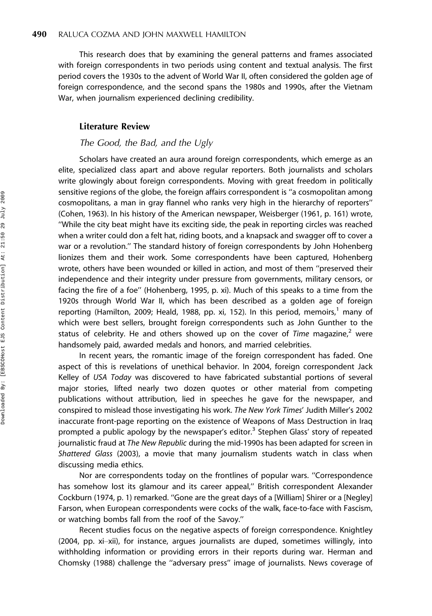This research does that by examining the general patterns and frames associated with foreign correspondents in two periods using content and textual analysis. The first period covers the 1930s to the advent of World War II, often considered the golden age of foreign correspondence, and the second spans the 1980s and 1990s, after the Vietnam War, when journalism experienced declining credibility.

#### Literature Review

#### The Good, the Bad, and the Ugly

Scholars have created an aura around foreign correspondents, which emerge as an elite, specialized class apart and above regular reporters. Both journalists and scholars write glowingly about foreign correspondents. Moving with great freedom in politically sensitive regions of the globe, the foreign affairs correspondent is ''a cosmopolitan among cosmopolitans, a man in gray flannel who ranks very high in the hierarchy of reporters'' (Cohen, 1963). In his history of the American newspaper, Weisberger (1961, p. 161) wrote, ''While the city beat might have its exciting side, the peak in reporting circles was reached when a writer could don a felt hat, riding boots, and a knapsack and swagger off to cover a war or a revolution.'' The standard history of foreign correspondents by John Hohenberg lionizes them and their work. Some correspondents have been captured, Hohenberg wrote, others have been wounded or killed in action, and most of them ''preserved their independence and their integrity under pressure from governments, military censors, or facing the fire of a foe'' (Hohenberg, 1995, p. xi). Much of this speaks to a time from the 1920s through World War II, which has been described as a golden age of foreign reporting (Hamilton, 2009; Heald, 1988, pp. xi, 152). In this period, memoirs, $1 \text{ many of}$ which were best sellers, brought foreign correspondents such as John Gunther to the status of celebrity. He and others showed up on the cover of Time magazine, $^2$  were handsomely paid, awarded medals and honors, and married celebrities.

In recent years, the romantic image of the foreign correspondent has faded. One aspect of this is revelations of unethical behavior. In 2004, foreign correspondent Jack Kelley of USA Today was discovered to have fabricated substantial portions of several major stories, lifted nearly two dozen quotes or other material from competing publications without attribution, lied in speeches he gave for the newspaper, and conspired to mislead those investigating his work. The New York Times' Judith Miller's 2002 inaccurate front-page reporting on the existence of Weapons of Mass Destruction in Iraq prompted a public apology by the newspaper's editor.<sup>3</sup> Stephen Glass' story of repeated journalistic fraud at The New Republic during the mid-1990s has been adapted for screen in Shattered Glass (2003), a movie that many journalism students watch in class when discussing media ethics.

Nor are correspondents today on the frontlines of popular wars. ''Correspondence has somehow lost its glamour and its career appeal,'' British correspondent Alexander Cockburn (1974, p. 1) remarked. ''Gone are the great days of a [William] Shirer or a [Negley] Farson, when European correspondents were cocks of the walk, face-to-face with Fascism, or watching bombs fall from the roof of the Savoy.''

Recent studies focus on the negative aspects of foreign correspondence. Knightley  $(2004, pp. xi-xii)$ , for instance, argues journalists are duped, sometimes willingly, into withholding information or providing errors in their reports during war. Herman and Chomsky (1988) challenge the ''adversary press'' image of journalists. News coverage of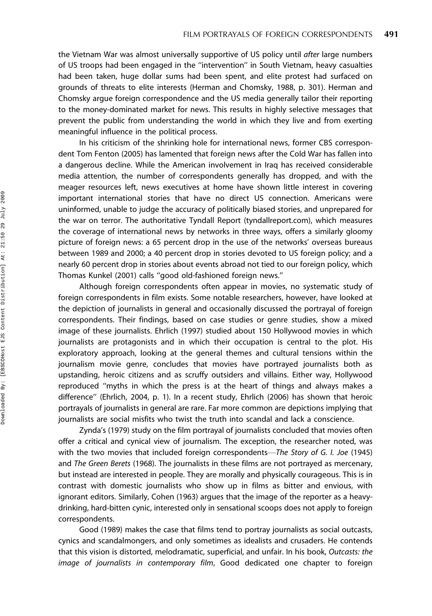the Vietnam War was almost universally supportive of US policy until after large numbers of US troops had been engaged in the ''intervention'' in South Vietnam, heavy casualties had been taken, huge dollar sums had been spent, and elite protest had surfaced on grounds of threats to elite interests (Herman and Chomsky, 1988, p. 301). Herman and Chomsky argue foreign correspondence and the US media generally tailor their reporting to the money-dominated market for news. This results in highly selective messages that prevent the public from understanding the world in which they live and from exerting meaningful influence in the political process.

In his criticism of the shrinking hole for international news, former CBS correspondent Tom Fenton (2005) has lamented that foreign news after the Cold War has fallen into a dangerous decline. While the American involvement in Iraq has received considerable media attention, the number of correspondents generally has dropped, and with the meager resources left, news executives at home have shown little interest in covering important international stories that have no direct US connection. Americans were uninformed, unable to judge the accuracy of politically biased stories, and unprepared for the war on terror. The authoritative Tyndall Report (tyndallreport.com), which measures the coverage of international news by networks in three ways, offers a similarly gloomy picture of foreign news: a 65 percent drop in the use of the networks' overseas bureaus between 1989 and 2000; a 40 percent drop in stories devoted to US foreign policy; and a nearly 60 percent drop in stories about events abroad not tied to our foreign policy, which Thomas Kunkel (2001) calls ''good old-fashioned foreign news.''

Although foreign correspondents often appear in movies, no systematic study of foreign correspondents in film exists. Some notable researchers, however, have looked at the depiction of journalists in general and occasionally discussed the portrayal of foreign correspondents. Their findings, based on case studies or genre studies, show a mixed image of these journalists. Ehrlich (1997) studied about 150 Hollywood movies in which journalists are protagonists and in which their occupation is central to the plot. His exploratory approach, looking at the general themes and cultural tensions within the journalism movie genre, concludes that movies have portrayed journalists both as upstanding, heroic citizens and as scruffy outsiders and villains. Either way, Hollywood reproduced ''myths in which the press is at the heart of things and always makes a difference'' (Ehrlich, 2004, p. 1). In a recent study, Ehrlich (2006) has shown that heroic portrayals of journalists in general are rare. Far more common are depictions implying that journalists are social misfits who twist the truth into scandal and lack a conscience.

Zynda's (1979) study on the film portrayal of journalists concluded that movies often offer a critical and cynical view of journalism. The exception, the researcher noted, was with the two movies that included foreign correspondents—The Story of G. I. Joe (1945) and The Green Berets (1968). The journalists in these films are not portrayed as mercenary, but instead are interested in people. They are morally and physically courageous. This is in contrast with domestic journalists who show up in films as bitter and envious, with ignorant editors. Similarly, Cohen (1963) argues that the image of the reporter as a heavydrinking, hard-bitten cynic, interested only in sensational scoops does not apply to foreign correspondents.

Good (1989) makes the case that films tend to portray journalists as social outcasts, cynics and scandalmongers, and only sometimes as idealists and crusaders. He contends that this vision is distorted, melodramatic, superficial, and unfair. In his book, Outcasts: the image of journalists in contemporary film, Good dedicated one chapter to foreign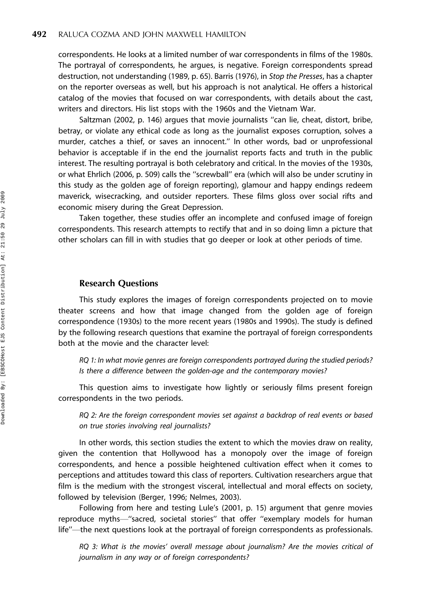correspondents. He looks at a limited number of war correspondents in films of the 1980s. The portrayal of correspondents, he argues, is negative. Foreign correspondents spread destruction, not understanding (1989, p. 65). Barris (1976), in Stop the Presses, has a chapter on the reporter overseas as well, but his approach is not analytical. He offers a historical catalog of the movies that focused on war correspondents, with details about the cast, writers and directors. His list stops with the 1960s and the Vietnam War.

Saltzman (2002, p. 146) argues that movie journalists ''can lie, cheat, distort, bribe, betray, or violate any ethical code as long as the journalist exposes corruption, solves a murder, catches a thief, or saves an innocent.'' In other words, bad or unprofessional behavior is acceptable if in the end the journalist reports facts and truth in the public interest. The resulting portrayal is both celebratory and critical. In the movies of the 1930s, or what Ehrlich (2006, p. 509) calls the ''screwball'' era (which will also be under scrutiny in this study as the golden age of foreign reporting), glamour and happy endings redeem maverick, wisecracking, and outsider reporters. These films gloss over social rifts and economic misery during the Great Depression.

Taken together, these studies offer an incomplete and confused image of foreign correspondents. This research attempts to rectify that and in so doing limn a picture that other scholars can fill in with studies that go deeper or look at other periods of time.

#### Research Questions

This study explores the images of foreign correspondents projected on to movie theater screens and how that image changed from the golden age of foreign correspondence (1930s) to the more recent years (1980s and 1990s). The study is defined by the following research questions that examine the portrayal of foreign correspondents both at the movie and the character level:

RQ 1: In what movie genres are foreign correspondents portrayed during the studied periods? Is there a difference between the golden-age and the contemporary movies?

This question aims to investigate how lightly or seriously films present foreign correspondents in the two periods.

RQ 2: Are the foreign correspondent movies set against a backdrop of real events or based on true stories involving real journalists?

In other words, this section studies the extent to which the movies draw on reality, given the contention that Hollywood has a monopoly over the image of foreign correspondents, and hence a possible heightened cultivation effect when it comes to perceptions and attitudes toward this class of reporters. Cultivation researchers argue that film is the medium with the strongest visceral, intellectual and moral effects on society, followed by television (Berger, 1996; Nelmes, 2003).

Following from here and testing Lule's (2001, p. 15) argument that genre movies reproduce myths-''sacred, societal stories'' that offer "exemplary models for human life"-the next questions look at the portrayal of foreign correspondents as professionals.

RQ 3: What is the movies' overall message about journalism? Are the movies critical of journalism in any way or of foreign correspondents?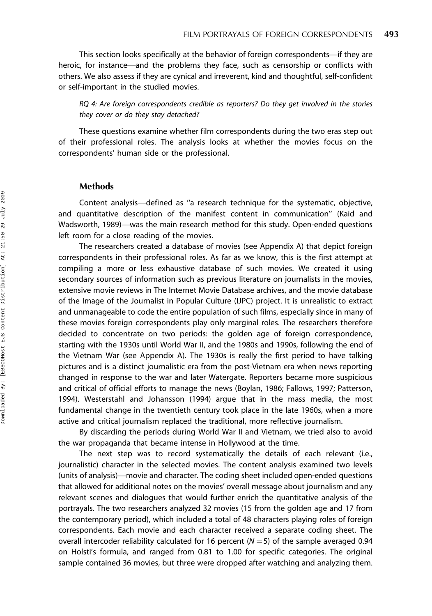This section looks specifically at the behavior of foreign correspondents—if they are heroic, for instance—and the problems they face, such as censorship or conflicts with others. We also assess if they are cynical and irreverent, kind and thoughtful, self-confident or self-important in the studied movies.

RQ 4: Are foreign correspondents credible as reporters? Do they get involved in the stories they cover or do they stay detached?

These questions examine whether film correspondents during the two eras step out of their professional roles. The analysis looks at whether the movies focus on the correspondents' human side or the professional.

#### **Methods**

Content analysis-defined as "a research technique for the systematic, objective, and quantitative description of the manifest content in communication'' (Kaid and Wadsworth, 1989)—was the main research method for this study. Open-ended questions left room for a close reading of the movies.

The researchers created a database of movies (see Appendix A) that depict foreign correspondents in their professional roles. As far as we know, this is the first attempt at compiling a more or less exhaustive database of such movies. We created it using secondary sources of information such as previous literature on journalists in the movies, extensive movie reviews in The Internet Movie Database archives, and the movie database of the Image of the Journalist in Popular Culture (IJPC) project. It is unrealistic to extract and unmanageable to code the entire population of such films, especially since in many of these movies foreign correspondents play only marginal roles. The researchers therefore decided to concentrate on two periods: the golden age of foreign correspondence, starting with the 1930s until World War II, and the 1980s and 1990s, following the end of the Vietnam War (see Appendix A). The 1930s is really the first period to have talking pictures and is a distinct journalistic era from the post-Vietnam era when news reporting changed in response to the war and later Watergate. Reporters became more suspicious and critical of official efforts to manage the news (Boylan, 1986; Fallows, 1997; Patterson, 1994). Westerstahl and Johansson (1994) argue that in the mass media, the most fundamental change in the twentieth century took place in the late 1960s, when a more active and critical journalism replaced the traditional, more reflective journalism.

By discarding the periods during World War II and Vietnam, we tried also to avoid the war propaganda that became intense in Hollywood at the time.

The next step was to record systematically the details of each relevant (i.e., journalistic) character in the selected movies. The content analysis examined two levels (units of analysis)—movie and character. The coding sheet included open-ended questions that allowed for additional notes on the movies' overall message about journalism and any relevant scenes and dialogues that would further enrich the quantitative analysis of the portrayals. The two researchers analyzed 32 movies (15 from the golden age and 17 from the contemporary period), which included a total of 48 characters playing roles of foreign correspondents. Each movie and each character received a separate coding sheet. The overall intercoder reliability calculated for 16 percent ( $N=5$ ) of the sample averaged 0.94 on Holsti's formula, and ranged from 0.81 to 1.00 for specific categories. The original sample contained 36 movies, but three were dropped after watching and analyzing them.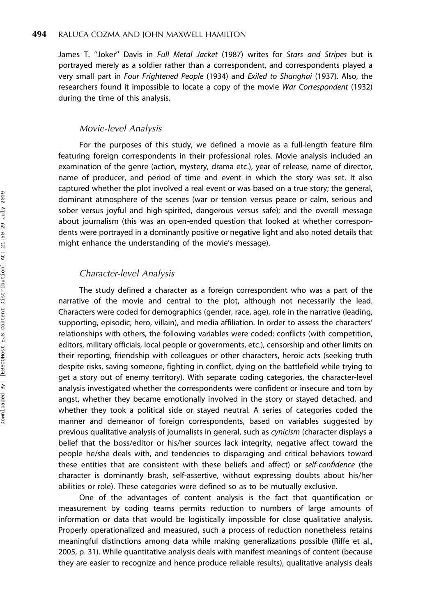James T. ''Joker'' Davis in Full Metal Jacket (1987) writes for Stars and Stripes but is portrayed merely as a soldier rather than a correspondent, and correspondents played a very small part in Four Frightened People (1934) and Exiled to Shanghai (1937). Also, the researchers found it impossible to locate a copy of the movie War Correspondent (1932) during the time of this analysis.

# Movie-level Analysis

For the purposes of this study, we defined a movie as a full-length feature film featuring foreign correspondents in their professional roles. Movie analysis included an examination of the genre (action, mystery, drama etc.), year of release, name of director, name of producer, and period of time and event in which the story was set. It also captured whether the plot involved a real event or was based on a true story; the general, dominant atmosphere of the scenes (war or tension versus peace or calm, serious and sober versus joyful and high-spirited, dangerous versus safe); and the overall message about journalism (this was an open-ended question that looked at whether correspondents were portrayed in a dominantly positive or negative light and also noted details that might enhance the understanding of the movie's message).

#### Character-level Analysis

The study defined a character as a foreign correspondent who was a part of the narrative of the movie and central to the plot, although not necessarily the lead. Characters were coded for demographics (gender, race, age), role in the narrative (leading, supporting, episodic; hero, villain), and media affiliation. In order to assess the characters' relationships with others, the following variables were coded: conflicts (with competition, editors, military officials, local people or governments, etc.), censorship and other limits on their reporting, friendship with colleagues or other characters, heroic acts (seeking truth despite risks, saving someone, fighting in conflict, dying on the battlefield while trying to get a story out of enemy territory). With separate coding categories, the character-level analysis investigated whether the correspondents were confident or insecure and torn by angst, whether they became emotionally involved in the story or stayed detached, and whether they took a political side or stayed neutral. A series of categories coded the manner and demeanor of foreign correspondents, based on variables suggested by previous qualitative analysis of journalists in general, such as cynicism (character displays a belief that the boss/editor or his/her sources lack integrity, negative affect toward the people he/she deals with, and tendencies to disparaging and critical behaviors toward these entities that are consistent with these beliefs and affect) or self-confidence (the character is dominantly brash, self-assertive, without expressing doubts about his/her abilities or role). These categories were defined so as to be mutually exclusive.

One of the advantages of content analysis is the fact that quantification or measurement by coding teams permits reduction to numbers of large amounts of information or data that would be logistically impossible for close qualitative analysis. Properly operationalized and measured, such a process of reduction nonetheless retains meaningful distinctions among data while making generalizations possible (Riffe et al., 2005, p. 31). While quantitative analysis deals with manifest meanings of content (because they are easier to recognize and hence produce reliable results), qualitative analysis deals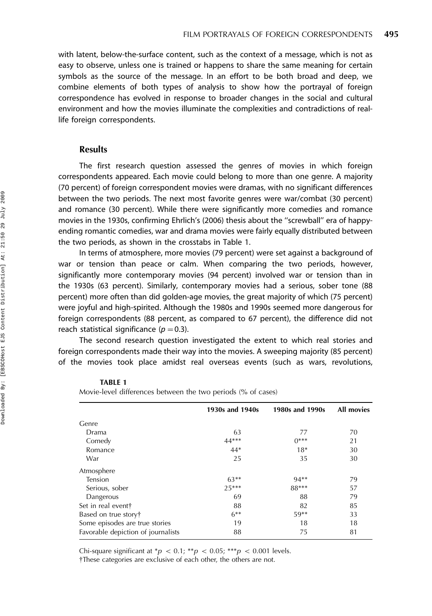with latent, below-the-surface content, such as the context of a message, which is not as easy to observe, unless one is trained or happens to share the same meaning for certain symbols as the source of the message. In an effort to be both broad and deep, we combine elements of both types of analysis to show how the portrayal of foreign correspondence has evolved in response to broader changes in the social and cultural environment and how the movies illuminate the complexities and contradictions of reallife foreign correspondents.

# Results

The first research question assessed the genres of movies in which foreign correspondents appeared. Each movie could belong to more than one genre. A majority (70 percent) of foreign correspondent movies were dramas, with no significant differences between the two periods. The next most favorite genres were war/combat (30 percent) and romance (30 percent). While there were significantly more comedies and romance movies in the 1930s, confirming Ehrlich's (2006) thesis about the ''screwball'' era of happyending romantic comedies, war and drama movies were fairly equally distributed between the two periods, as shown in the crosstabs in Table 1.

In terms of atmosphere, more movies (79 percent) were set against a background of war or tension than peace or calm. When comparing the two periods, however, significantly more contemporary movies (94 percent) involved war or tension than in the 1930s (63 percent). Similarly, contemporary movies had a serious, sober tone (88 percent) more often than did golden-age movies, the great majority of which (75 percent) were joyful and high-spirited. Although the 1980s and 1990s seemed more dangerous for foreign correspondents (88 percent, as compared to 67 percent), the difference did not reach statistical significance ( $p=0.3$ ).

The second research question investigated the extent to which real stories and foreign correspondents made their way into the movies. A sweeping majority (85 percent) of the movies took place amidst real overseas events (such as wars, revolutions,

|                                    | 1930s and 1940s | 1980s and 1990s | All movies |
|------------------------------------|-----------------|-----------------|------------|
| Genre                              |                 |                 |            |
| Drama                              | 63              | 77              | 70         |
| Comedy                             | $44***$         | $0***$          | 21         |
| Romance                            | $44*$           | $18*$           | 30         |
| War                                | 25              | 35              | 30         |
| Atmosphere                         |                 |                 |            |
| Tension                            | $63**$          | $94**$          | 79         |
| Serious, sober                     | $25***$         | 88***           | 57         |
| Dangerous                          | 69              | 88              | 79         |
| Set in real event†                 | 88              | 82              | 85         |
| Based on true story†               | $6***$          | 59**            | 33         |
| Some episodes are true stories     | 19              | 18              | 18         |
| Favorable depiction of journalists | 88              | 75              | 81         |

| <b>TABLE 1</b> |                                                              |  |  |
|----------------|--------------------------------------------------------------|--|--|
|                | Movie-level differences between the two periods (% of cases) |  |  |

Chi-square significant at \*p  $\langle 0.1; **p \rangle$   $\langle 0.05; **p \rangle$   $\langle 0.001$  levels.

\$These categories are exclusive of each other, the others are not.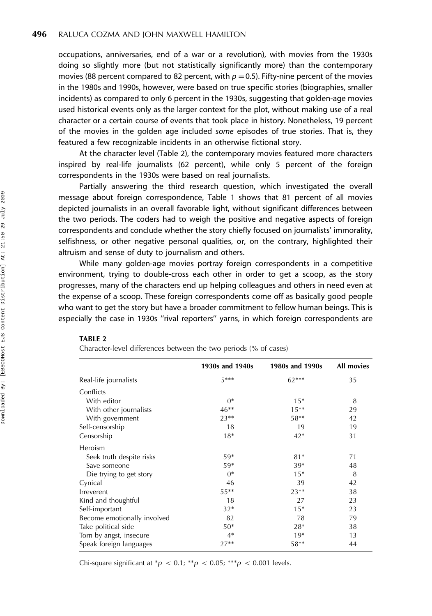occupations, anniversaries, end of a war or a revolution), with movies from the 1930s doing so slightly more (but not statistically significantly more) than the contemporary movies (88 percent compared to 82 percent, with  $p=0.5$ ). Fifty-nine percent of the movies in the 1980s and 1990s, however, were based on true specific stories (biographies, smaller incidents) as compared to only 6 percent in the 1930s, suggesting that golden-age movies used historical events only as the larger context for the plot, without making use of a real character or a certain course of events that took place in history. Nonetheless, 19 percent of the movies in the golden age included some episodes of true stories. That is, they featured a few recognizable incidents in an otherwise fictional story.

At the character level (Table 2), the contemporary movies featured more characters inspired by real-life journalists (62 percent), while only 5 percent of the foreign correspondents in the 1930s were based on real journalists.

Partially answering the third research question, which investigated the overall message about foreign correspondence, Table 1 shows that 81 percent of all movies depicted journalists in an overall favorable light, without significant differences between the two periods. The coders had to weigh the positive and negative aspects of foreign correspondents and conclude whether the story chiefly focused on journalists' immorality, selfishness, or other negative personal qualities, or, on the contrary, highlighted their altruism and sense of duty to journalism and others.

While many golden-age movies portray foreign correspondents in a competitive environment, trying to double-cross each other in order to get a scoop, as the story progresses, many of the characters end up helping colleagues and others in need even at the expense of a scoop. These foreign correspondents come off as basically good people who want to get the story but have a broader commitment to fellow human beings. This is especially the case in 1930s ''rival reporters'' yarns, in which foreign correspondents are

|                             | 1930s and 1940s | 1980s and 1990s | All movies |
|-----------------------------|-----------------|-----------------|------------|
| Real-life journalists       | $5***$          | $62***$         | 35         |
| Conflicts                   |                 |                 |            |
| With editor                 | $0*$            | $15*$           | 8          |
| With other journalists      | $46***$         | $15***$         | 29         |
| With government             | $23**$          | 58**            | 42         |
| Self-censorship             | 18              | 19              | 19         |
| Censorship                  | $18*$           | $42*$           | 31         |
| Heroism                     |                 |                 |            |
| Seek truth despite risks    | 59*             | $81*$           | 71         |
| Save someone                | 59*             | $39*$           | 48         |
| Die trying to get story     | $0*$            | $15*$           | 8          |
| Cynical                     | 46              | 39              | 42         |
| Irreverent                  | 55**            | $23**$          | 38         |
| Kind and thoughtful         | 18              | 27              | 23         |
| Self-important              | $32*$           | $15*$           | 23         |
| Become emotionally involved | 82              | 78              | 79         |
| Take political side         | $50*$           | $28*$           | 38         |
| Torn by angst, insecure     | $4*$            | $19*$           | 13         |
| Speak foreign languages     | $27**$          | 58**            | 44         |
|                             |                 |                 |            |

#### TABLE 2

Character-level differences between the two periods (% of cases)

Chi-square significant at \*p < 0.1; \*\*p < 0.05; \*\*\*p < 0.001 levels.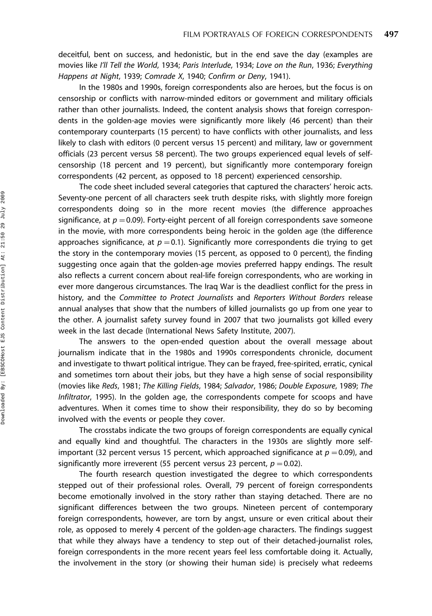deceitful, bent on success, and hedonistic, but in the end save the day (examples are movies like I'll Tell the World, 1934; Paris Interlude, 1934; Love on the Run, 1936; Everything Happens at Night, 1939; Comrade X, 1940; Confirm or Deny, 1941).

In the 1980s and 1990s, foreign correspondents also are heroes, but the focus is on censorship or conflicts with narrow-minded editors or government and military officials rather than other journalists. Indeed, the content analysis shows that foreign correspondents in the golden-age movies were significantly more likely (46 percent) than their contemporary counterparts (15 percent) to have conflicts with other journalists, and less likely to clash with editors (0 percent versus 15 percent) and military, law or government officials (23 percent versus 58 percent). The two groups experienced equal levels of selfcensorship (18 percent and 19 percent), but significantly more contemporary foreign correspondents (42 percent, as opposed to 18 percent) experienced censorship.

The code sheet included several categories that captured the characters' heroic acts. Seventy-one percent of all characters seek truth despite risks, with slightly more foreign correspondents doing so in the more recent movies (the difference approaches significance, at  $p=0.09$ ). Forty-eight percent of all foreign correspondents save someone in the movie, with more correspondents being heroic in the golden age (the difference approaches significance, at  $p=0.1$ ). Significantly more correspondents die trying to get the story in the contemporary movies (15 percent, as opposed to 0 percent), the finding suggesting once again that the golden-age movies preferred happy endings. The result also reflects a current concern about real-life foreign correspondents, who are working in ever more dangerous circumstances. The Iraq War is the deadliest conflict for the press in history, and the Committee to Protect Journalists and Reporters Without Borders release annual analyses that show that the numbers of killed journalists go up from one year to the other. A journalist safety survey found in 2007 that two journalists got killed every week in the last decade (International News Safety Institute, 2007).

The answers to the open-ended question about the overall message about journalism indicate that in the 1980s and 1990s correspondents chronicle, document and investigate to thwart political intrigue. They can be frayed, free-spirited, erratic, cynical and sometimes torn about their jobs, but they have a high sense of social responsibility (movies like Reds, 1981; The Killing Fields, 1984; Salvador, 1986; Double Exposure, 1989; The Infiltrator, 1995). In the golden age, the correspondents compete for scoops and have adventures. When it comes time to show their responsibility, they do so by becoming involved with the events or people they cover.

The crosstabs indicate the two groups of foreign correspondents are equally cynical and equally kind and thoughtful. The characters in the 1930s are slightly more selfimportant (32 percent versus 15 percent, which approached significance at  $p=0.09$ ), and significantly more irreverent (55 percent versus 23 percent,  $p=0.02$ ).

The fourth research question investigated the degree to which correspondents stepped out of their professional roles. Overall, 79 percent of foreign correspondents become emotionally involved in the story rather than staying detached. There are no significant differences between the two groups. Nineteen percent of contemporary foreign correspondents, however, are torn by angst, unsure or even critical about their role, as opposed to merely 4 percent of the golden-age characters. The findings suggest that while they always have a tendency to step out of their detached-journalist roles, foreign correspondents in the more recent years feel less comfortable doing it. Actually, the involvement in the story (or showing their human side) is precisely what redeems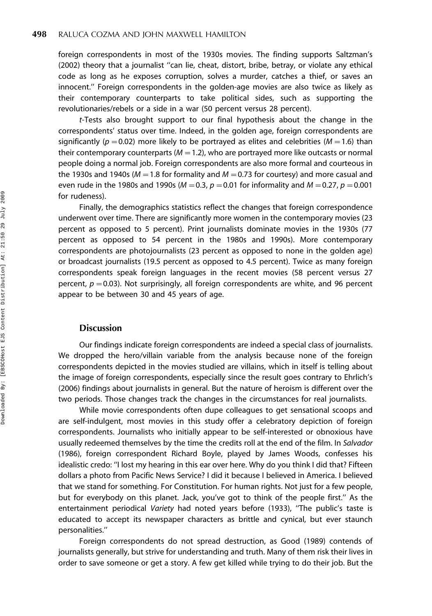foreign correspondents in most of the 1930s movies. The finding supports Saltzman's (2002) theory that a journalist ''can lie, cheat, distort, bribe, betray, or violate any ethical code as long as he exposes corruption, solves a murder, catches a thief, or saves an innocent.'' Foreign correspondents in the golden-age movies are also twice as likely as their contemporary counterparts to take political sides, such as supporting the revolutionaries/rebels or a side in a war (50 percent versus 28 percent).

t-Tests also brought support to our final hypothesis about the change in the correspondents' status over time. Indeed, in the golden age, foreign correspondents are significantly ( $p=0.02$ ) more likely to be portrayed as elites and celebrities ( $M=1.6$ ) than their contemporary counterparts ( $M=1.2$ ), who are portrayed more like outcasts or normal people doing a normal job. Foreign correspondents are also more formal and courteous in the 1930s and 1940s ( $M=1.8$  for formality and  $M=0.73$  for courtesy) and more casual and even rude in the 1980s and 1990s ( $M=0.3$ ,  $p=0.01$  for informality and  $M=0.27$ ,  $p=0.001$ for rudeness).

Finally, the demographics statistics reflect the changes that foreign correspondence underwent over time. There are significantly more women in the contemporary movies (23 percent as opposed to 5 percent). Print journalists dominate movies in the 1930s (77 percent as opposed to 54 percent in the 1980s and 1990s). More contemporary correspondents are photojournalists (23 percent as opposed to none in the golden age) or broadcast journalists (19.5 percent as opposed to 4.5 percent). Twice as many foreign correspondents speak foreign languages in the recent movies (58 percent versus 27 percent,  $p=0.03$ ). Not surprisingly, all foreign correspondents are white, and 96 percent appear to be between 30 and 45 years of age.

#### **Discussion**

Our findings indicate foreign correspondents are indeed a special class of journalists. We dropped the hero/villain variable from the analysis because none of the foreign correspondents depicted in the movies studied are villains, which in itself is telling about the image of foreign correspondents, especially since the result goes contrary to Ehrlich's (2006) findings about journalists in general. But the nature of heroism is different over the two periods. Those changes track the changes in the circumstances for real journalists.

While movie correspondents often dupe colleagues to get sensational scoops and are self-indulgent, most movies in this study offer a celebratory depiction of foreign correspondents. Journalists who initially appear to be self-interested or obnoxious have usually redeemed themselves by the time the credits roll at the end of the film. In Salvador (1986), foreign correspondent Richard Boyle, played by James Woods, confesses his idealistic credo: "I lost my hearing in this ear over here. Why do you think I did that? Fifteen dollars a photo from Pacific News Service? I did it because I believed in America. I believed that we stand for something. For Constitution. For human rights. Not just for a few people, but for everybody on this planet. Jack, you've got to think of the people first.'' As the entertainment periodical Variety had noted years before (1933), "The public's taste is educated to accept its newspaper characters as brittle and cynical, but ever staunch personalities.''

Foreign correspondents do not spread destruction, as Good (1989) contends of journalists generally, but strive for understanding and truth. Many of them risk their lives in order to save someone or get a story. A few get killed while trying to do their job. But the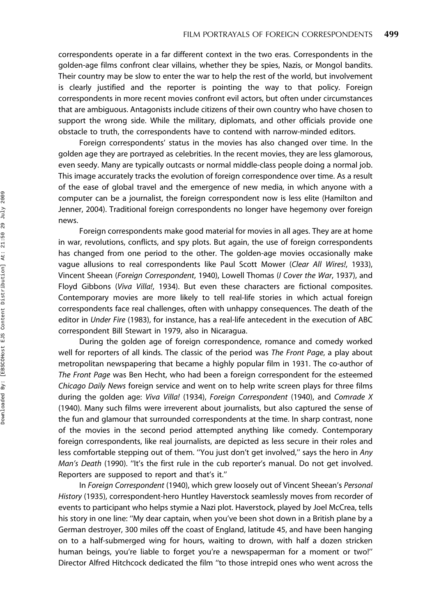correspondents operate in a far different context in the two eras. Correspondents in the golden-age films confront clear villains, whether they be spies, Nazis, or Mongol bandits. Their country may be slow to enter the war to help the rest of the world, but involvement is clearly justified and the reporter is pointing the way to that policy. Foreign correspondents in more recent movies confront evil actors, but often under circumstances that are ambiguous. Antagonists include citizens of their own country who have chosen to support the wrong side. While the military, diplomats, and other officials provide one obstacle to truth, the correspondents have to contend with narrow-minded editors.

Foreign correspondents' status in the movies has also changed over time. In the golden age they are portrayed as celebrities. In the recent movies, they are less glamorous, even seedy. Many are typically outcasts or normal middle-class people doing a normal job. This image accurately tracks the evolution of foreign correspondence over time. As a result of the ease of global travel and the emergence of new media, in which anyone with a computer can be a journalist, the foreign correspondent now is less elite (Hamilton and Jenner, 2004). Traditional foreign correspondents no longer have hegemony over foreign news.

Foreign correspondents make good material for movies in all ages. They are at home in war, revolutions, conflicts, and spy plots. But again, the use of foreign correspondents has changed from one period to the other. The golden-age movies occasionally make vague allusions to real correspondents like Paul Scott Mower (Clear All Wires!, 1933), Vincent Sheean (Foreign Correspondent, 1940), Lowell Thomas (I Cover the War, 1937), and Floyd Gibbons (Viva Villa!, 1934). But even these characters are fictional composites. Contemporary movies are more likely to tell real-life stories in which actual foreign correspondents face real challenges, often with unhappy consequences. The death of the editor in Under Fire (1983), for instance, has a real-life antecedent in the execution of ABC correspondent Bill Stewart in 1979, also in Nicaragua.

During the golden age of foreign correspondence, romance and comedy worked well for reporters of all kinds. The classic of the period was The Front Page, a play about metropolitan newspapering that became a highly popular film in 1931. The co-author of The Front Page was Ben Hecht, who had been a foreign correspondent for the esteemed Chicago Daily News foreign service and went on to help write screen plays for three films during the golden age: Viva Villa! (1934), Foreign Correspondent (1940), and Comrade X (1940). Many such films were irreverent about journalists, but also captured the sense of the fun and glamour that surrounded correspondents at the time. In sharp contrast, none of the movies in the second period attempted anything like comedy. Contemporary foreign correspondents, like real journalists, are depicted as less secure in their roles and less comfortable stepping out of them. "You just don't get involved," says the hero in Any Man's Death (1990). "It's the first rule in the cub reporter's manual. Do not get involved. Reporters are supposed to report and that's it.''

In Foreign Correspondent (1940), which grew loosely out of Vincent Sheean's Personal History (1935), correspondent-hero Huntley Haverstock seamlessly moves from recorder of events to participant who helps stymie a Nazi plot. Haverstock, played by Joel McCrea, tells his story in one line: ''My dear captain, when you've been shot down in a British plane by a German destroyer, 300 miles off the coast of England, latitude 45, and have been hanging on to a half-submerged wing for hours, waiting to drown, with half a dozen stricken human beings, you're liable to forget you're a newspaperman for a moment or two!'' Director Alfred Hitchcock dedicated the film ''to those intrepid ones who went across the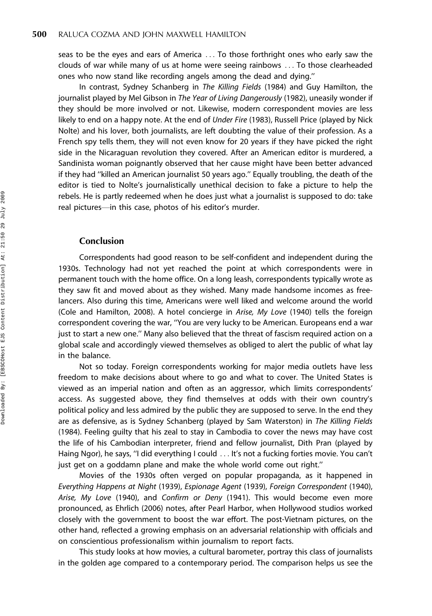seas to be the eyes and ears of America ... To those forthright ones who early saw the clouds of war while many of us at home were seeing rainbows ... To those clearheaded ones who now stand like recording angels among the dead and dying.''

In contrast, Sydney Schanberg in The Killing Fields (1984) and Guy Hamilton, the journalist played by Mel Gibson in The Year of Living Dangerously (1982), uneasily wonder if they should be more involved or not. Likewise, modern correspondent movies are less likely to end on a happy note. At the end of Under Fire (1983), Russell Price (played by Nick Nolte) and his lover, both journalists, are left doubting the value of their profession. As a French spy tells them, they will not even know for 20 years if they have picked the right side in the Nicaraguan revolution they covered. After an American editor is murdered, a Sandinista woman poignantly observed that her cause might have been better advanced if they had ''killed an American journalist 50 years ago.'' Equally troubling, the death of the editor is tied to Nolte's journalistically unethical decision to fake a picture to help the rebels. He is partly redeemed when he does just what a journalist is supposed to do: take real pictures-in this case, photos of his editor's murder.

### Conclusion

Correspondents had good reason to be self-confident and independent during the 1930s. Technology had not yet reached the point at which correspondents were in permanent touch with the home office. On a long leash, correspondents typically wrote as they saw fit and moved about as they wished. Many made handsome incomes as freelancers. Also during this time, Americans were well liked and welcome around the world (Cole and Hamilton, 2008). A hotel concierge in Arise, My Love (1940) tells the foreign correspondent covering the war, ''You are very lucky to be American. Europeans end a war just to start a new one.'' Many also believed that the threat of fascism required action on a global scale and accordingly viewed themselves as obliged to alert the public of what lay in the balance.

Not so today. Foreign correspondents working for major media outlets have less freedom to make decisions about where to go and what to cover. The United States is viewed as an imperial nation and often as an aggressor, which limits correspondents' access. As suggested above, they find themselves at odds with their own country's political policy and less admired by the public they are supposed to serve. In the end they are as defensive, as is Sydney Schanberg (played by Sam Waterston) in The Killing Fields (1984). Feeling guilty that his zeal to stay in Cambodia to cover the news may have cost the life of his Cambodian interpreter, friend and fellow journalist, Dith Pran (played by Haing Ngor), he says, "I did everything I could ... It's not a fucking forties movie. You can't just get on a goddamn plane and make the whole world come out right.''

Movies of the 1930s often verged on popular propaganda, as it happened in Everything Happens at Night (1939), Espionage Agent (1939), Foreign Correspondent (1940), Arise, My Love (1940), and Confirm or Deny (1941). This would become even more pronounced, as Ehrlich (2006) notes, after Pearl Harbor, when Hollywood studios worked closely with the government to boost the war effort. The post-Vietnam pictures, on the other hand, reflected a growing emphasis on an adversarial relationship with officials and on conscientious professionalism within journalism to report facts.

This study looks at how movies, a cultural barometer, portray this class of journalists in the golden age compared to a contemporary period. The comparison helps us see the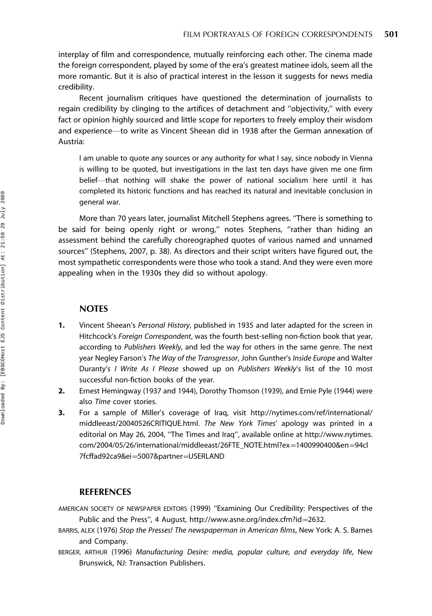interplay of film and correspondence, mutually reinforcing each other. The cinema made the foreign correspondent, played by some of the era's greatest matinee idols, seem all the more romantic. But it is also of practical interest in the lesson it suggests for news media credibility.

Recent journalism critiques have questioned the determination of journalists to regain credibility by clinging to the artifices of detachment and ''objectivity,'' with every fact or opinion highly sourced and little scope for reporters to freely employ their wisdom and experience—to write as Vincent Sheean did in 1938 after the German annexation of Austria:

I am unable to quote any sources or any authority for what I say, since nobody in Vienna is willing to be quoted, but investigations in the last ten days have given me one firm belief-that nothing will shake the power of national socialism here until it has completed its historic functions and has reached its natural and inevitable conclusion in general war.

More than 70 years later, journalist Mitchell Stephens agrees. ''There is something to be said for being openly right or wrong,'' notes Stephens, ''rather than hiding an assessment behind the carefully choreographed quotes of various named and unnamed sources'' (Stephens, 2007, p. 38). As directors and their script writers have figured out, the most sympathetic correspondents were those who took a stand. And they were even more appealing when in the 1930s they did so without apology.

# **NOTES**

- 1. Vincent Sheean's Personal History, published in 1935 and later adapted for the screen in Hitchcock's Foreign Correspondent, was the fourth best-selling non-fiction book that year, according to Publishers Weekly, and led the way for others in the same genre. The next year Negley Farson's The Way of the Transgressor, John Gunther's Inside Europe and Walter Duranty's I Write As I Please showed up on Publishers Weekly's list of the 10 most successful non-fiction books of the year.
- 2. Ernest Hemingway (1937 and 1944), Dorothy Thomson (1939), and Ernie Pyle (1944) were also Time cover stories.
- 3. For a sample of Miller's coverage of Iraq, visit http://nytimes.com/ref/international/ middleeast/20040526CRITIQUE.html. The New York Times' apology was printed in a editorial on May 26, 2004, ''The Times and Iraq'', available online at http://www.nytimes. com/2004/05/26/international/middleeast/26FTE\_NOTE.html?ex=1400990400&en=94cl 7fcffad92ca9&ei=5007&partner=USERLAND

# REFERENCES

AMERICAN SOCIETY OF NEWSPAPER EDITORS (1999) ''Examining Our Credibility: Perspectives of the Public and the Press", 4 August, http://www.asne.org/index.cfm?id=2632.

- BARRIS, ALEX (1976) Stop the Presses! The newspaperman in American films, New York: A. S. Barnes and Company.
- BERGER, ARTHUR (1996) Manufacturing Desire: media, popular culture, and everyday life, New Brunswick, NJ: Transaction Publishers.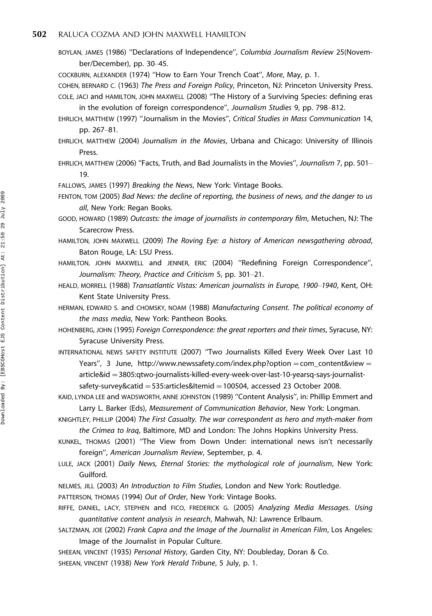BOYLAN, JAMES (1986) ''Declarations of Independence'', Columbia Journalism Review 25(November/December), pp. 30-45.

COCKBURN, ALEXANDER (1974) ''How to Earn Your Trench Coat'', More, May, p. 1.

COHEN, BERNARD C. (1963) The Press and Foreign Policy, Princeton, NJ: Princeton University Press. COLE, JACI and HAMILTON, JOHN MAXWELL (2008) ''The History of a Surviving Species: defining eras

in the evolution of foreign correspondence", Journalism Studies 9, pp. 798-812.

- EHRLICH, MATTHEW (1997) ''Journalism in the Movies'', Critical Studies in Mass Communication 14, pp. 267-81.
- EHRLICH, MATTHEW (2004) Journalism in the Movies, Urbana and Chicago: University of Illinois Press.
- EHRLICH, MATTHEW (2006) "Facts, Truth, and Bad Journalists in the Movies", Journalism 7, pp. 501-19.
- FALLOWS, JAMES (1997) Breaking the News, New York: Vintage Books.
- FENTON, TOM (2005) Bad News: the decline of reporting, the business of news, and the danger to us all, New York: Regan Books.

GOOD, HOWARD (1989) Outcasts: the image of journalists in contemporary film, Metuchen, NJ: The Scarecrow Press.

HAMILTON, JOHN MAXWELL (2009) The Roving Eye: a history of American newsgathering abroad, Baton Rouge, LA: LSU Press.

HAMILTON, JOHN MAXWELL and JENNER, ERIC (2004) ''Redefining Foreign Correspondence'', Journalism: Theory, Practice and Criticism 5, pp. 301-21.

HEALD, MORRELL (1988) Transatlantic Vistas: American journalists in Europe, 1900-1940, Kent, OH: Kent State University Press.

HERMAN, EDWARD S. and CHOMSKY, NOAM (1988) Manufacturing Consent. The political economy of the mass media, New York: Pantheon Books.

- HOHENBERG, JOHN (1995) Foreign Correspondence: the great reporters and their times, Syracuse, NY: Syracuse University Press.
- INTERNATIONAL NEWS SAFETY INSTITUTE (2007) ''Two Journalists Killed Every Week Over Last 10 Years", 3 June, http://www.newssafety.com/index.php?option = com\_content&view = article&id = 3805:qtwo-journalists-killed-every-week-over-last-10-yearsq-says-journalistsafety-survey&catid = 535:articles&Itemid = 100504, accessed 23 October 2008.
- KAID, LYNDA LEE and WADSWORTH, ANNE JOHNSTON (1989) ''Content Analysis'', in: Phillip Emmert and Larry L. Barker (Eds), Measurement of Communication Behavior, New York: Longman.

KNIGHTLEY, PHILLIP (2004) The First Casualty. The war correspondent as hero and myth-maker from the Crimea to Iraq, Baltimore, MD and London: The Johns Hopkins University Press.

- KUNKEL, THOMAS (2001) ''The View from Down Under: international news isn't necessarily foreign'', American Journalism Review, September, p. 4.
- LULE, JACK (2001) Daily News, Eternal Stories: the mythological role of journalism, New York: Guilford.
- NELMES, JILL (2003) An Introduction to Film Studies, London and New York: Routledge. PATTERSON, THOMAS (1994) Out of Order, New York: Vintage Books.
- RIFFE, DANIEL, LACY, STEPHEN and FICO, FREDERICK G. (2005) Analyzing Media Messages. Using quantitative content analysis in research, Mahwah, NJ: Lawrence Erlbaum.
- SALTZMAN, JOE (2002) Frank Capra and the Image of the Journalist in American Film, Los Angeles: Image of the Journalist in Popular Culture.
- SHEEAN, VINCENT (1935) Personal History, Garden City, NY: Doubleday, Doran & Co. SHEEAN, VINCENT (1938) New York Herald Tribune, 5 July, p. 1.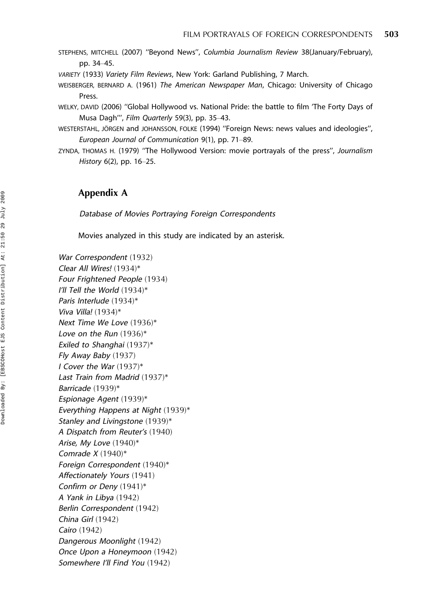STEPHENS, MITCHELL (2007) ''Beyond News'', Columbia Journalism Review 38(January/February), pp. 34-45.

VARIETY (1933) Variety Film Reviews, New York: Garland Publishing, 7 March.

- WEISBERGER, BERNARD A. (1961) The American Newspaper Man, Chicago: University of Chicago Press.
- WELKY, DAVID (2006) ''Global Hollywood vs. National Pride: the battle to film 'The Forty Days of Musa Dagh'", Film Quarterly 59(3), pp. 35-43.
- WESTERSTAHL, JÖRGEN and JOHANSSON, FOLKE (1994) "Foreign News: news values and ideologies", European Journal of Communication 9(1), pp. 71-89.
- ZYNDA, THOMAS H. (1979) ''The Hollywood Version: movie portrayals of the press'', Journalism History  $6(2)$ , pp.  $16-25$ .

# Appendix A

Database of Movies Portraying Foreign Correspondents

Movies analyzed in this study are indicated by an asterisk.

War Correspondent (1932) Clear All Wires! (1934)\* Four Frightened People (1934) I'll Tell the World (1934)\* Paris Interlude (1934)\* Viva Villa! (1934)\* Next Time We Love (1936)\* Love on the Run (1936)\* Exiled to Shanghai (1937)\* Fly Away Baby (1937) <sup>I</sup> Cover the War (1937)\* Last Train from Madrid (1937)\* Barricade (1939)\* Espionage Agent (1939)\* Everything Happens at Night (1939)\* Stanley and Livingstone (1939)\* <sup>A</sup> Dispatch from Reuter's (1940) Arise, My Love (1940)\* Comrade  $X(1940)^*$ Foreign Correspondent (1940)\* Affectionately Yours (1941) Confirm or Deny (1941)\* <sup>A</sup> Yank in Libya (1942) Berlin Correspondent (1942) China Girl (1942) Cairo (1942) Dangerous Moonlight (1942) Once Upon <sup>a</sup> Honeymoon (1942) Somewhere I'll Find You (1942)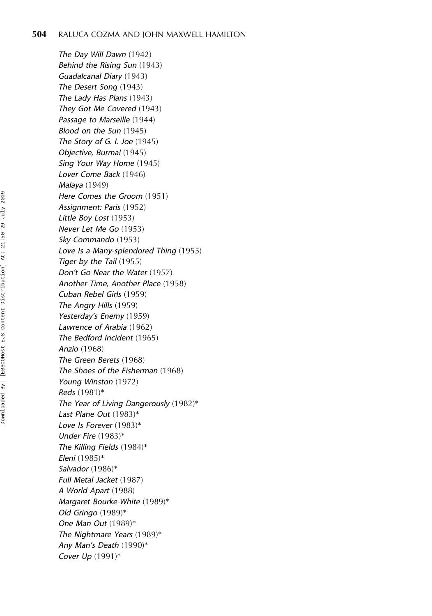The Day Will Dawn (1942) Behind the Rising Sun (1943) Guadalcanal Diary (1943) The Desert Song (1943) The Lady Has Plans (1943) They Got Me Covered (1943) Passage to Marseille (1944) Blood on the Sun (1945) The Story of G. I. Joe (1945) Objective, Burma! (1945) Sing Your Way Home (1945) Lover Come Back (1946) Malaya (1949) Here Comes the Groom (1951) Assignment: Paris (1952) Little Boy Lost (1953) Never Let Me Go (1953) Sky Commando (1953) Love Is <sup>a</sup> Many-splendored Thing (1955) Tiger by the Tail (1955) Don't Go Near the Water (1957) Another Time, Another Place (1958) Cuban Rebel Girls (1959) The Angry Hills (1959) Yesterday's Enemy (1959) Lawrence of Arabia (1962) The Bedford Incident (1965) Anzio (1968) The Green Berets (1968) The Shoes of the Fisherman (1968) Young Winston (1972) Reds (1981)\* The Year of Living Dangerously (1982)\* Last Plane Out (1983)\* Love Is Forever (1983)\* Under Fire (1983)\* The Killing Fields (1984)\* Eleni (1985)\* Salvador (1986)\* Full Metal Jacket (1987) <sup>A</sup> World Apart (1988) Margaret Bourke-White (1989)\* Old Gringo (1989)\* One Man Out (1989)\* The Nightmare Years (1989)\* Any Man's Death (1990)\* Cover Up  $(1991)^*$